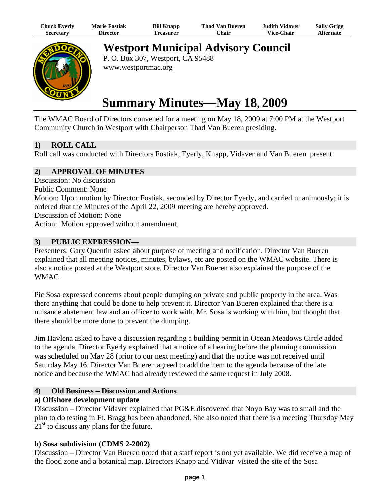| Chuck Eyerly     | <b>Marie Fostiak</b> | <b>Bill Knapp</b> | <b>Thad Van Bueren</b> | <b>Judith Vidaver</b> | <b>Sally Grigg</b> |
|------------------|----------------------|-------------------|------------------------|-----------------------|--------------------|
| <b>Secretary</b> | Director             | <b>Treasurer</b>  | Chair -                | <b>Vice-Chair</b>     | Alternate          |



**Westport Municipal Advisory Council** 

P. O. Box 307, Westport, CA 95488 www.westportmac.org

# **Summary Minutes—May 18, 2009**

The WMAC Board of Directors convened for a meeting on May 18, 2009 at 7:00 PM at the Westport Community Church in Westport with Chairperson Thad Van Bueren presiding.

## **1) ROLL CALL**

Roll call was conducted with Directors Fostiak, Eyerly, Knapp, Vidaver and Van Bueren present.

## **2) APPROVAL OF MINUTES**

Discussion: No discussion

Public Comment: None

Motion: Upon motion by Director Fostiak, seconded by Director Eyerly, and carried unanimously; it is ordered that the Minutes of the April 22, 2009 meeting are hereby approved.

Discussion of Motion: None

Action: Motion approved without amendment.

## **3) PUBLIC EXPRESSION—**

Presenters: Gary Quentin asked about purpose of meeting and notification. Director Van Bueren explained that all meeting notices, minutes, bylaws, etc are posted on the WMAC website. There is also a notice posted at the Westport store. Director Van Bueren also explained the purpose of the WMAC.

Pic Sosa expressed concerns about people dumping on private and public property in the area. Was there anything that could be done to help prevent it. Director Van Bueren explained that there is a nuisance abatement law and an officer to work with. Mr. Sosa is working with him, but thought that there should be more done to prevent the dumping.

Jim Havlena asked to have a discussion regarding a building permit in Ocean Meadows Circle added to the agenda. Director Eyerly explained that a notice of a hearing before the planning commission was scheduled on May 28 (prior to our next meeting) and that the notice was not received until Saturday May 16. Director Van Bueren agreed to add the item to the agenda because of the late notice and because the WMAC had already reviewed the same request in July 2008.

## **4) Old Business – Discussion and Actions**

## **a) Offshore development update**

Discussion – Director Vidaver explained that PG&E discovered that Noyo Bay was to small and the plan to do testing in Ft. Bragg has been abandoned. She also noted that there is a meeting Thursday May  $21<sup>st</sup>$  to discuss any plans for the future.

## **b) Sosa subdivision (CDMS 2-2002)**

Discussion – Director Van Bueren noted that a staff report is not yet available. We did receive a map of the flood zone and a botanical map. Directors Knapp and Vidivar visited the site of the Sosa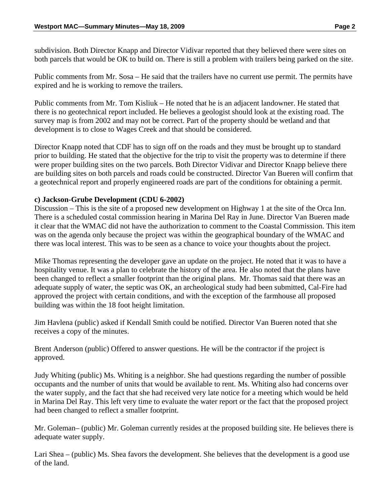subdivision. Both Director Knapp and Director Vidivar reported that they believed there were sites on both parcels that would be OK to build on. There is still a problem with trailers being parked on the site.

Public comments from Mr. Sosa – He said that the trailers have no current use permit. The permits have expired and he is working to remove the trailers.

Public comments from Mr. Tom Kisliuk – He noted that he is an adjacent landowner. He stated that there is no geotechnical report included. He believes a geologist should look at the existing road. The survey map is from 2002 and may not be correct. Part of the property should be wetland and that development is to close to Wages Creek and that should be considered.

Director Knapp noted that CDF has to sign off on the roads and they must be brought up to standard prior to building. He stated that the objective for the trip to visit the property was to determine if there were proper building sites on the two parcels. Both Director Vidivar and Director Knapp believe there are building sites on both parcels and roads could be constructed. Director Van Bueren will confirm that a geotechnical report and properly engineered roads are part of the conditions for obtaining a permit.

## **c) Jackson-Grube Development (CDU 6-2002)**

Discussion – This is the site of a proposed new development on Highway 1 at the site of the Orca Inn. There is a scheduled costal commission hearing in Marina Del Ray in June. Director Van Bueren made it clear that the WMAC did not have the authorization to comment to the Coastal Commission. This item was on the agenda only because the project was within the geographical boundary of the WMAC and there was local interest. This was to be seen as a chance to voice your thoughts about the project.

Mike Thomas representing the developer gave an update on the project. He noted that it was to have a hospitality venue. It was a plan to celebrate the history of the area. He also noted that the plans have been changed to reflect a smaller footprint than the original plans. Mr. Thomas said that there was an adequate supply of water, the septic was OK, an archeological study had been submitted, Cal-Fire had approved the project with certain conditions, and with the exception of the farmhouse all proposed building was within the 18 foot height limitation.

Jim Havlena (public) asked if Kendall Smith could be notified. Director Van Bueren noted that she receives a copy of the minutes.

Brent Anderson (public) Offered to answer questions. He will be the contractor if the project is approved.

Judy Whiting (public) Ms. Whiting is a neighbor. She had questions regarding the number of possible occupants and the number of units that would be available to rent. Ms. Whiting also had concerns over the water supply, and the fact that she had received very late notice for a meeting which would be held in Marina Del Ray. This left very time to evaluate the water report or the fact that the proposed project had been changed to reflect a smaller footprint.

Mr. Goleman– (public) Mr. Goleman currently resides at the proposed building site. He believes there is adequate water supply.

Lari Shea – (public) Ms. Shea favors the development. She believes that the development is a good use of the land.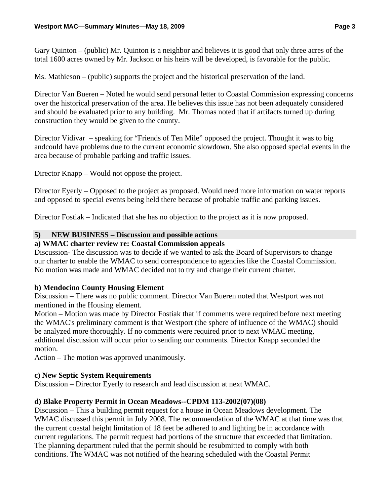Gary Quinton – (public) Mr. Quinton is a neighbor and believes it is good that only three acres of the total 1600 acres owned by Mr. Jackson or his heirs will be developed, is favorable for the public.

Ms. Mathieson – (public) supports the project and the historical preservation of the land.

Director Van Bueren – Noted he would send personal letter to Coastal Commission expressing concerns over the historical preservation of the area. He believes this issue has not been adequately considered and should be evaluated prior to any building. Mr. Thomas noted that if artifacts turned up during construction they would be given to the county.

Director Vidivar – speaking for "Friends of Ten Mile" opposed the project. Thought it was to big andcould have problems due to the current economic slowdown. She also opposed special events in the area because of probable parking and traffic issues.

Director Knapp – Would not oppose the project.

Director Eyerly – Opposed to the project as proposed. Would need more information on water reports and opposed to special events being held there because of probable traffic and parking issues.

Director Fostiak – Indicated that she has no objection to the project as it is now proposed.

#### **5) NEW BUSINESS – Discussion and possible actions**

#### **a) WMAC charter review re: Coastal Commission appeals**

Discussion- The discussion was to decide if we wanted to ask the Board of Supervisors to change our charter to enable the WMAC to send correspondence to agencies like the Coastal Commission. No motion was made and WMAC decided not to try and change their current charter.

#### **b) Mendocino County Housing Element**

Discussion – There was no public comment. Director Van Bueren noted that Westport was not mentioned in the Housing element.

Motion – Motion was made by Director Fostiak that if comments were required before next meeting the WMAC's preliminary comment is that Westport (the sphere of influence of the WMAC) should be analyzed more thoroughly. If no comments were required prior to next WMAC meeting, additional discussion will occur prior to sending our comments. Director Knapp seconded the motion.

Action – The motion was approved unanimously.

#### **c) New Septic System Requirements**

Discussion – Director Eyerly to research and lead discussion at next WMAC.

## **d) Blake Property Permit in Ocean Meadows--CPDM 113-2002(07)(08)**

Discussion – This a building permit request for a house in Ocean Meadows development. The WMAC discussed this permit in July 2008. The recommendation of the WMAC at that time was that the current coastal height limitation of 18 feet be adhered to and lighting be in accordance with current regulations. The permit request had portions of the structure that exceeded that limitation. The planning department ruled that the permit should be resubmitted to comply with both conditions. The WMAC was not notified of the hearing scheduled with the Coastal Permit